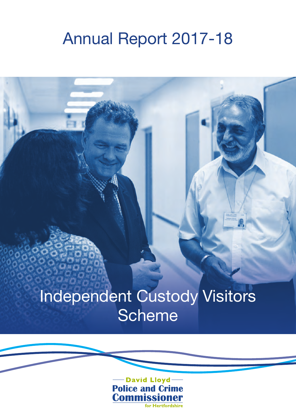### Annual Report 2017-18

## Independent Custody Visitors **Scheme**

- David Lloyd-**Police and Crime<br>Commissioner** for Hertfordshire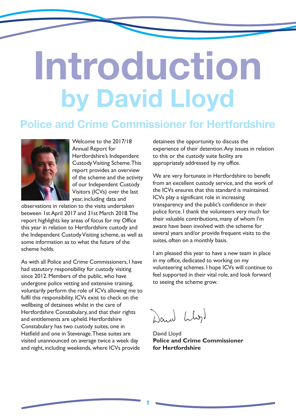# **Introduction by David Lloyd**

### **Police and Crime Commissioner for Hertfordshire**



Welcome to the 2017/18 Annual Report for Hertfordshire's Independent Custody Visiting Scheme. This report provides an overview of the scheme and the activity of our Independent Custody Visitors (ICVs) over the last year, including data and

observations in relation to the visits undertaken between 1st April 2017 and 31st March 2018. The report highlights key areas of focus for my Office this year in relation to Hertfordshire custody and the Independent Custody Visiting scheme, as well as some information as to what the future of the scheme holds.

As with all Police and Crime Commissioners, I have had statutory responsibility for custody visiting since 2012. Members of the public, who have undergone police vetting and extensive training, voluntarily perform the role of ICVs allowing me to fulfil this responsibility. ICVs exist to check on the wellbeing of detainees whilst in the care of Hertfordshire Constabulary, and that their rights and entitlements are upheld. Hertfordshire Constabulary has two custody suites, one in Hatfield and one in Stevenage. These suites are visited unannounced on average twice a week day and night, including weekends, where ICVs provide

detainees the opportunity to discuss the experience of their detention. Any issues in relation to this or the custody suite facility are appropriately addressed by my office.

We are very fortunate in Hertfordshire to benefit from an excellent custody service, and the work of the ICVs ensures that this standard is maintained. ICVs play a significant role in increasing transparency and the public's confidence in their police force. I thank the volunteers very much for their valuable contributions, many of whom I'm aware have been involved with the scheme for several years and/or provide frequent visits to the suites, often on a monthly basis.

I am pleased this year to have a new team in place in my office, dedicated to working on my volunteering schemes. I hope ICVs will continue to feel supported in their vital role, and look forward to seeing the scheme grow.

Dand Llyd

David Lloyd **Police and Crime Commissioner for Hertfordshire**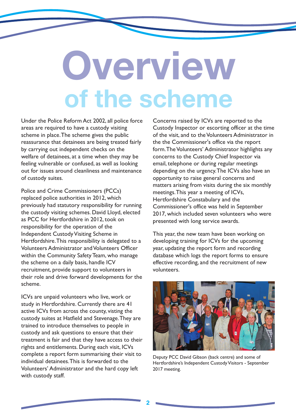# **Overview of the scheme**

Under the Police Reform Act 2002, all police force areas are required to have a custody visiting scheme in place. The scheme gives the public reassurance that detainees are being treated fairly by carrying out independent checks on the welfare of detainees, at a time when they may be feeling vulnerable or confused, as well as looking out for issues around cleanliness and maintenance of custody suites.

Police and Crime Commissioners (PCCs) replaced police authorities in 2012, which previously had statutory responsibility for running the custody visiting schemes. David Lloyd, elected as PCC for Hertfordshire in 2012, took on responsibility for the operation of the Independent Custody Visiting Scheme in Hertfordshire. This responsibility is delegated to a Volunteers Administrator and Volunteers Officer within the Community Safety Team, who manage the scheme on a daily basis, handle ICV recruitment, provide support to volunteers in their role and drive forward developments for the scheme.

ICVs are unpaid volunteers who live, work or study in Hertfordshire. Currently there are 41 active ICVs from across the county, visting the custody suites at Hatfield and Stevenage. They are trained to introduce themselves to people in custody and ask questions to ensure that their treatment is fair and that they have access to their rights and entitlements. During each visit, ICVs complete a report form summarising their visit to individual detainees. This is forwarded to the Volunteers' Administrator and the hard copy left with custody staff.

Concerns raised by ICVs are reported to the Custody Inspector or escorting officer at the time of the visit, and to the Volunteers Administrator in the the Commissioner's office via the report form. The Volunteers' Administrator highlights any concerns to the Custody Chief Inspector via email, telephone or during regular meetings depending on the urgency. The ICVs also have an opportunity to raise general concerns and matters arising from visits during the six monthly meetings. This year a meeting of ICVs, Hertfordshire Constabulary and the Commissioner's office was held in September 2017, which included seven volunteers who were presented with long service awards.

This year, the new team have been working on developing training for ICVs for the upcoming year, updating the report form and recording database which logs the report forms to ensure effective recording, and the recruitment of new volunteers.



Deputy PCC David Gibson (back centre) and some of Hertfordshire's Independent Custody Visitors - September 2017 meeting.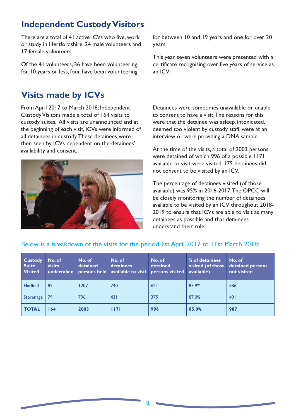### **Independent Custody Visitors**

There are a total of 41 active ICVs who live, work or study in Hertfordshire, 24 male volunteers and 17 female volunteers.

Of the 41 volunteers, 36 have been volunteering for 10 years or less, four have been volunteering

### **Visits made by ICVs**

From April 2017 to March 2018, Independent Custody Visitors made a total of 164 visits to custody suites. All visits are unannounced and at the beginning of each visit, ICVs were informed of all detainees in custody. These detainees were then seen by ICVs dependent on the detainees' availability and consent.



for between 10 and 19 years and one for over 20 years.

This year, seven volunteers were presented with a certificate recognising over five years of service as an ICV.

Detainees were sometimes unavailable or unable to consent to have a visit. The reasons for this were that the detainee was asleep, intoxicated, deemed too violent by custody staff, were at an interview or were providing a DNA sample.

At the time of the visits, a total of 2003 persons were detained of which 996 of a possible 1171 available to visit were visited. 175 detainees did not consent to be visited by an ICV.

The percentage of detainees visited (of those available) was 95% in 2016-2017. The OPCC will be closely monitoring the number of detainees available to be visited by an ICV throughout 2018- 2019 to ensure that ICVs are able to visit as many detainees as possible and that detainees understand their role.

| Custody<br><b>Suite</b><br><b>Visited</b> | No. of<br>visits<br>undertaken | No. of<br>detained | No. of<br>detainees<br>persons held available to visit persons visited | No. of<br>detained | % of detainees<br>visited (of those<br>available) | No. of<br>detained persons<br>not visited |
|-------------------------------------------|--------------------------------|--------------------|------------------------------------------------------------------------|--------------------|---------------------------------------------------|-------------------------------------------|
| <b>Hatfield</b>                           | 85                             | 1207               | 740                                                                    | 621                | 83.9%                                             | 586                                       |
| Stevenage                                 | 79                             | 796                | 431                                                                    | 375                | 87.0%                                             | 401                                       |
| <b>TOTAL</b>                              | 164                            | 2003               | 1171                                                                   | 996                | 85.0%                                             | 987                                       |

#### Below is a breakdown of the visits for the period 1st April 2017 to 31st March 2018: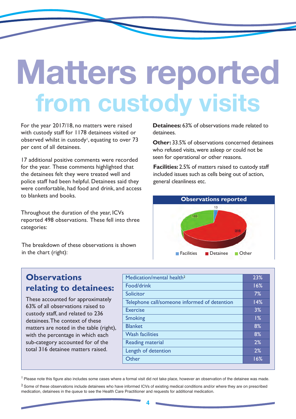# **Matters reported from custody visits**

For the year 2017/18, no matters were raised with custody staff for 1178 detainees visited or observed whilst in custody<sup>1</sup>, equating to over 73 per cent of all detainees.

17 additional positive comments were recorded for the year. These comments highlighted that the detainees felt they were treated well and police staff had been helpful. Detainees said they were comfortable, had food and drink, and access to blankets and books.

Throughout the duration of the year, ICVs reported 498 observations. These fell into three categories:

The breakdown of these observations is shown in the chart (right):

**Detainees:** 63% of observations made related to detainees.

**Other: 33.5% of observations concerned detainees** who refused visits, were asleep or could not be seen for operational or other reasons.

**Facilities:** 2.5% of matters raised to custody staff included issues such as cells being out of action, general cleanliness etc.



### **Observations relating to detainees:**

These accounted for approximately 63% of all observations raised to custody staff, and related to 236 detainees. The context of these matters are noted in the table (right), with the percentage in which each sub-category accounted for of the total 316 detainee matters raised.

| Medication/mental health <sup>2</sup>        | 23% |
|----------------------------------------------|-----|
| Food/drink                                   | 16% |
| Solicitor                                    | 7%  |
| Telephone call/someone informed of detention | 14% |
| <b>Exercise</b>                              | 3%  |
| <b>Smoking</b>                               | 1%  |
| <b>Blanket</b>                               | 8%  |
| <b>Wash facilities</b>                       | 8%  |
| <b>Reading material</b>                      | 2%  |
| Length of detention                          | 2%  |
| Other                                        | 16% |
|                                              |     |

<sup>1</sup> Please note this figure also includes some cases where a formal visit did not take place, however an observation of the detainee was made.

<sup>2</sup> Some of these observations include detainees who have informed ICVs of existing medical conditions and/or where they are on prescribed medication, detainees in the queue to see the Health Care Practitioner and requests for additional medication.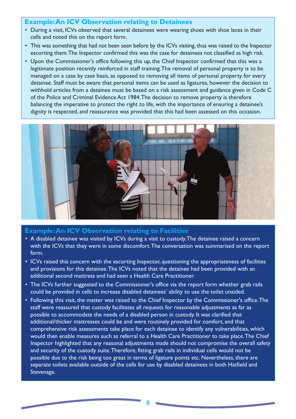#### **Example: An ICV Observation relating to Detainees**

- During a visit, ICVs observed that several detainees were wearing shoes with shoe laces in their cells and noted this on the report form.
- This was something that had not been seen before by the ICVs visiting, thus was raised to the Inspector escorting them. The Inspector confirmed this was the case for detainees not classified as high risk.
- Upon the Commissioner's office following this up, the Chief Inspector confirmed that this was a legitimate position recently reinforced in staff training. The removal of personal property is to be managed on a case by case basis, as opposed to removing all items of personal property for every detainee. Staff must be aware that personal items can be used as ligatures, however the decision to withhold articles from a detainee must be based on a risk assessment and guidance given in Code C of the Police and Criminal Evidence Act 1984. The decision to remove property is therefore balancing the imperative to protect the right to life, with the importance of ensuring a detainee's dignity is respected, and reassurance was provided that this had been assessed on this occasion.



#### **Example: An ICV Observation relating to Facilities**

- A disabled detainee was visited by ICVs during a visit to custody. The detainee raised a concern with the ICVs that they were in some discomfort. The conversation was summarised on the report form.
- ICVs raised this concern with the escorting Inspector, questioning the appropriateness of facilities and provisions for this detainee. The ICVs noted that the detainee had been provided with an additional second mattress and had seen a Health Care Practitioner.
- The ICVs further suggested to the Commissioner's office via the report form whether grab rails could be provided in cells to increase disabled detainees' ability to use the toilet unaided.
- Following this visit, the matter was raised to the Chief Inspector by the Commissioner's office. The staff were reassured that custody facilitates all requests for reasonable adjustments as far as possible to accommodate the needs of a disabled person in custody. It was clarified that additional/thicker mattresses could be and were routinely provided for comfort, and that comprehensive risk assessments take place for each detainee to identify any vulnerabilities, which would then enable measures such as referral to a Health Care Practitioner to take place. The Chief Inspector highlighted that any reasonal adjustments made should not compromise the overall safety and security of the custody suite. Therefore, fitting grab rails in individual cells would not be possible due to the risk being too great in terms of ligature points etc. Nevertheless, there are separate toilets available outside of the cells for use by disabled detainees in both Hatfield and Stevenage.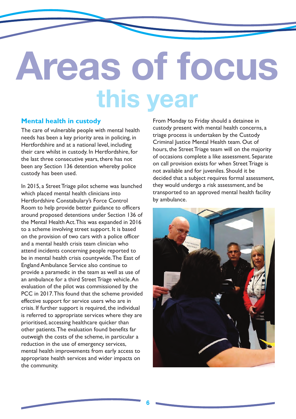# **Areas of focus this year**

#### **Mental health in custody**

The care of vulnerable people with mental health needs has been a key priority area in policing, in Hertfordshire and at a national level, including their care whilst in custody. In Hertfordshire, for the last three consecutive years, there has not been any Section 136 detention whereby police custody has been used.

In 2015, a Street Triage pilot scheme was launched which placed mental health clinicians into Hertfordshire Constabulary's Force Control Room to help provide better guidance to officers around proposed detentions under Section 136 of the Mental Health Act. This was expanded in 2016 to a scheme involving street support. It is based on the provision of two cars with a police officer and a mental health crisis team clinician who attend incidents concerning people reported to be in mental health crisis countywide. The East of England Ambulance Service also continue to provide a paramedic in the team as well as use of an ambulance for a third Street Triage vehicle. An evaluation of the pilot was commissioned by the PCC in 2017. This found that the scheme provided effective support for service users who are in crisis. If further support is required, the individual is referred to appropriate services where they are prioritised, accessing healthcare quicker than other patients. The evaluation found benefits far outweigh the costs of the scheme, in particular a reduction in the use of emergency services, mental health improvements from early access to appropriate health services and wider impacts on the community.

From Monday to Friday should a detainee in custody present with mental health concerns, a triage process is undertaken by the Custody Criminal Justice Mental Health team. Out of hours, the Street Triage team will on the majority of occasions complete a like assessment. Separate on call provision exists for when Street Triage is not available and for juveniles. Should it be decided that a subject requires formal assessment, they would undergo a risk assessment, and be transported to an approved mental health facility by ambulance.

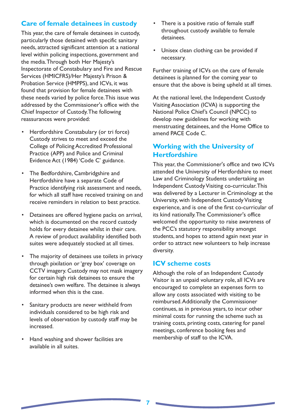#### **Care of female detainees in custody**

This year, the care of female detainees in custody, particularly those detained with specific sanitary needs, attracted significant attention at a national level within policing inspections, government and the media. Through both Her Majesty's Inspectorate of Constabulary and Fire and Rescue Services (HMICFRS)/Her Majesty's Prison & Probation Service (HMPPS), and ICVs, it was found that provision for female detainees with these needs varied by police force. This issue was addressed by the Commissioner's office with the Chief Inspector of Custody. The following reassurances were provided:

- Hertfordshire Constabulary (or tri force) Custody strives to meet and exceed the College of Policing Accredited Professional Practice (APP) and Police and Criminal Evidence Act (1984) 'Code C' guidance.
- The Bedfordshire, Cambridgshire and Hertfordshire have a separate Code of Practice identifying risk assessment and needs, for which all staff have received training on and receive reminders in relation to best practice.
- Detainees are offered hygiene packs on arrival, which is documented on the record custody holds for every detainee whilst in their care. A review of product availability identified both suites were adequately stocked at all times.
- The majority of detainees use toilets in privacy through pixilation or 'grey box' coverage on CCTV imagery. Custody may not mask imagery for certain high risk detainees to ensure the detainee's own welfare. The detainee is always informed when this is the case.
- Sanitary products are never withheld from individuals considered to be high risk and levels of observation by custody staff may be increased.
- Hand washing and shower facilities are available in all suites.
- There is a positive ratio of female staff throughout custody available to female detainees.
- Unisex clean clothing can be provided if necessary.

Further training of ICVs on the care of female detainees is planned for the coming year to ensure that the above is being upheld at all times.

At the national level, the Independent Custody Visiting Association (ICVA) is supporting the National Police Chief's Council (NPCC) to develop new guidelines for working with menstruating detainees, and the Home Office to amend PACE Code C.

#### **Working with the University of Hertfordshire**

This year, the Commissioner's office and two ICVs attended the University of Hertfordshire to meet Law and Criminology Students undertaking an Independent Custody Visiting co-curricular. This was delivered by a Lecturer in Criminology at the University, with Independent Custody Visiting experience, and is one of the first co-curricular of its kind nationally. The Commissioner's office welcomed the opportunity to raise awareness of the PCC's statutory responsibility amongst students, and hopes to attend again next year in order to attract new volunteers to help increase diversity.

#### **ICV scheme costs**

Although the role of an Independent Custody Visitor is an unpaid voluntary role, all ICVs are encouraged to complete an expenses form to allow any costs associated with visiting to be reimbursed. Additionally the Commissioner continues, as in previous years, to incur other minimal costs for running the scheme such as training costs, printing costs, catering for panel meetings, conference booking fees and membership of staff to the ICVA.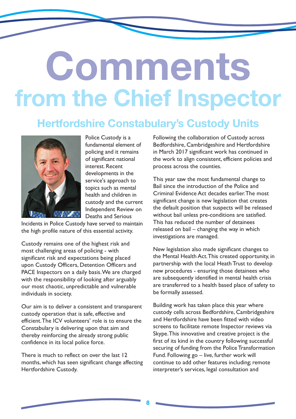# **Comments from the Chief Inspector**

### **Hertfordshire Constabulary's Custody Units**



Police Custody is a fundamental element of policing and it remains of significant national interest. Recent developments in the service's approach to topics such as mental health and children in custody and the current Independent Review on Deaths and Serious

Incidents in Police Custody have served to maintain the high profile nature of this essential activity.

Custody remains one of the highest risk and most challenging areas of policing - with significant risk and expectations being placed upon Custody Officers, Detention Officers and PACE Inspectors on a daily basis. We are charged with the responsibility of looking after arguably our most chaotic, unpredictable and vulnerable individuals in society.

Our aim is to deliver a consistent and transparent custody operation that is safe, effective and efficient. The ICV volunteers' role is to ensure the Constabulary is delivering upon that aim and thereby reinforcing the already strong public confidence in its local police force.

There is much to reflect on over the last 12 months, which has seen significant change affecting Hertfordshire Custody.

Following the collaboration of Custody across Bedfordshire, Cambridgeshire and Hertfordshire in March 2017 significant work has continued in the work to align consistent, efficient policies and process across the counties.

This year saw the most fundamental change to Bail since the introduction of the Police and Criminal Evidence Act decades earlier. The most significant change is new legislation that creates the default position that suspects will be released without bail unless pre-conditions are satisfied. This has reduced the number of detainees released on bail – changing the way in which investigations are managed.

New legislation also made significant changes to the Mental Health Act. This created opportunity, in partnership with the local Heath Trust to develop new procedures - ensuring those detainees who are subsequently identified in mental health crisis are transferred to a health based place of safety to be formally assessed.

Building work has taken place this year where custody cells across Bedfordshire, Cambridgeshire and Hertfordshire have been fitted with video screens to facilitate remote Inspector reviews via Skype. This innovative and creative project is the first of its kind in the country following successful securing of funding from the Police Transformation Fund. Following go – live, further work will continue to add other features including; remote interpreter's services, legal consultation and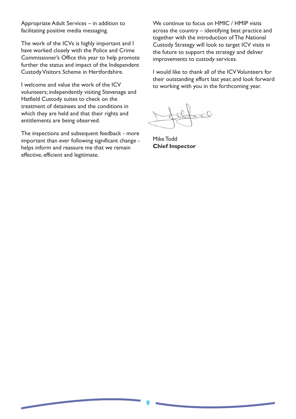Appropriate Adult Services – in addition to facilitating positive media messaging.

The work of the ICVs is highly important and I have worked closely with the Police and Crime Commissioner's Office this year to help promote further the status and impact of the Independent Custody Visitors Scheme in Hertfordshire.

I welcome and value the work of the ICV volunteers; independently visiting Stevenage and Hatfield Custody suites to check on the treatment of detainees and the conditions in which they are held and that their rights and entitlements are being observed.

The inspections and subsequent feedback - more important than ever following significant change helps inform and reassure me that we remain effective, efficient and legitimate.

We continue to focus on HMIC / HMIP visits across the country – identifying best practice and together with the introduction of The National Custody Strategy will look to target ICV visits in the future to support the strategy and deliver improvements to custody services.

I would like to thank all of the ICV Volunteers for their outstanding effort last year, and look forward to working with you in the forthcoming year.

Mike Todd **Chief Inspector**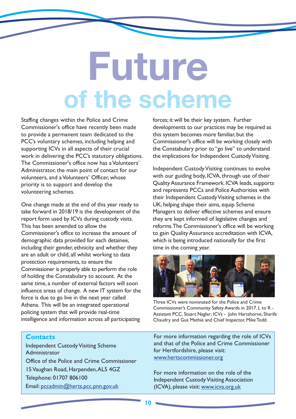# **Future of the scheme**

Staffing changes within the Police and Crime Commissioner's office have recently been made to provide a permanent team dedicated to the PCC's voluntary schemes, including helping and supporting ICVs in all aspects of their crucial work in delivering the PCC's statutory obligations. The Commissioner's office now has a Volunteers' Administrator, the main point of contact for our volunteers, and a Volunteers' Officer, whose priority is to support and develop the volunteering schemes.

One change made at the end of this year ready to take forward in 2018/19 is the development of the report form used by ICVs during custody visits. This has been amended to allow the Commissioner's office to increase the amount of demographic data provided for each detainee, including their gender, ethnicity and whether they are an adult or child, all whilst working to data protection requirements, to ensure the Commissioner is properly able to perform the role of holding the Constabulary to account. At the same time, a number of external factors will soon influence areas of change. A new IT system for the force is due to go live in the next year called Athena. This will be an integrated operational policing system that will provide real-time intelligence and information across all participating

forces; it will be their key system. Further developments to our practices may be required as this system becomes more familiar, but the Commissioner's office will be working closely with the Constabulary prior to "go live" to understand the implications for Independent Custody Visiting.

Independent Custody Visiting continues to evolve with our guiding body, ICVA, through use of their Quality Assurance Framework. ICVA leads, supports and represents PCCs and Police Authorities with their Independent Custody Visiting schemes in the UK, helping shape their aims, equip Scheme Managers to deliver effective schemes and ensure they are kept informed of legislative changes and reforms. The Commissioner's office will be working to gain Quality Assurance accreditation with ICVA, which is being introduced nationally for the first time in the coming year.



Three ICVs were nominated for the Police and Crime Commissioner's Community Safety Awards in 2017. L to R - Assistant PCC, Stuart Nagler; ICVs - John Hartshorne, Sharifa Chaudry and Gus Mathie and Chief Inspector, Mike Todd.

#### **Contacts**

Independent Custody Visiting Scheme Administrator Office of the Police and Crime Commissioner 15 Vaughan Road, Harpenden, AL5 4GZ Telephone: 01707 806100 Email: pccadmin@herts.pcc.pnn.gov.uk

For more information regarding the role of ICVs and that of the Police and Crime Commissioner for Hertfordshire, please visit: www.hertscommissioner.org

For more information on the role of the Independent Custody Visiting Association (ICVA), please visit: www.icva.org.uk